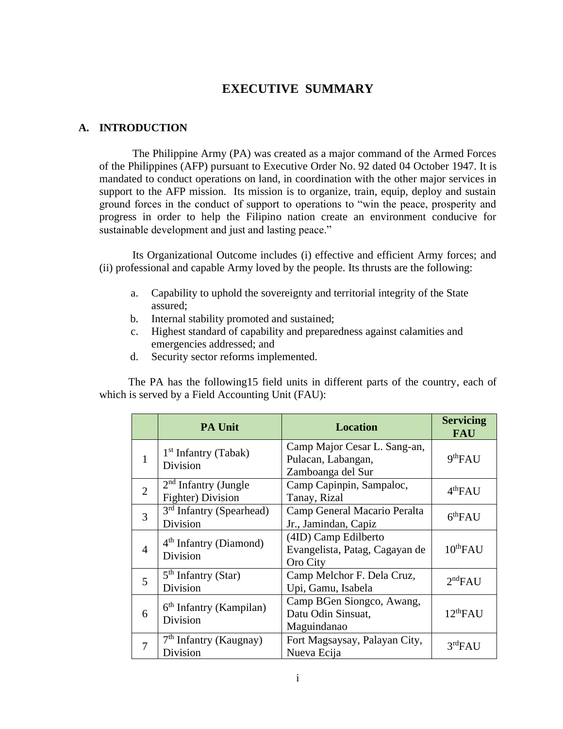# **EXECUTIVE SUMMARY**

## **A. INTRODUCTION**

The Philippine Army (PA) was created as a major command of the Armed Forces of the Philippines (AFP) pursuant to Executive Order No. 92 dated 04 October 1947. It is mandated to conduct operations on land, in coordination with the other major services in support to the AFP mission. Its mission is to organize, train, equip, deploy and sustain ground forces in the conduct of support to operations to "win the peace, prosperity and progress in order to help the Filipino nation create an environment conducive for sustainable development and just and lasting peace."

Its Organizational Outcome includes (i) effective and efficient Army forces; and (ii) professional and capable Army loved by the people. Its thrusts are the following:

- a. Capability to uphold the sovereignty and territorial integrity of the State assured;
- b. Internal stability promoted and sustained;
- c. Highest standard of capability and preparedness against calamities and emergencies addressed; and
- d. Security sector reforms implemented.

The PA has the following15 field units in different parts of the country, each of which is served by a Field Accounting Unit (FAU):

|                | <b>PA Unit</b>                                   | <b>Location</b>                                                         | <b>Servicing</b><br><b>FAU</b> |
|----------------|--------------------------------------------------|-------------------------------------------------------------------------|--------------------------------|
| $\mathbf{1}$   | 1 <sup>st</sup> Infantry (Tabak)<br>Division     | Camp Major Cesar L. Sang-an,<br>Pulacan, Labangan,<br>Zamboanga del Sur | 9 <sup>th</sup> FAU            |
| $\overline{2}$ | $2nd$ Infantry (Jungle<br>Fighter) Division      | Camp Capinpin, Sampaloc,<br>Tanay, Rizal                                | 4 <sup>th</sup> FAU            |
| 3              | 3 <sup>rd</sup> Infantry (Spearhead)<br>Division | Camp General Macario Peralta<br>Jr., Jamindan, Capiz                    | 6 <sup>th</sup> FAU            |
| $\overline{4}$ | $4th$ Infantry (Diamond)<br>Division             | (4ID) Camp Edilberto<br>Evangelista, Patag, Cagayan de<br>Oro City      | $10^{th}$ FAU                  |
| 5              | $5th$ Infantry (Star)<br>Division                | Camp Melchor F. Dela Cruz,<br>Upi, Gamu, Isabela                        | 2 <sup>nd</sup> FAU            |
| 6              | $6th$ Infantry (Kampilan)<br>Division            | Camp BGen Siongco, Awang,<br>Datu Odin Sinsuat,<br>Maguindanao          | 12 <sup>th</sup> FAU           |
| 7              | $7th$ Infantry (Kaugnay)<br>Division             | Fort Magsaysay, Palayan City,<br>Nueva Ecija                            | 3 <sup>rd</sup> FAU            |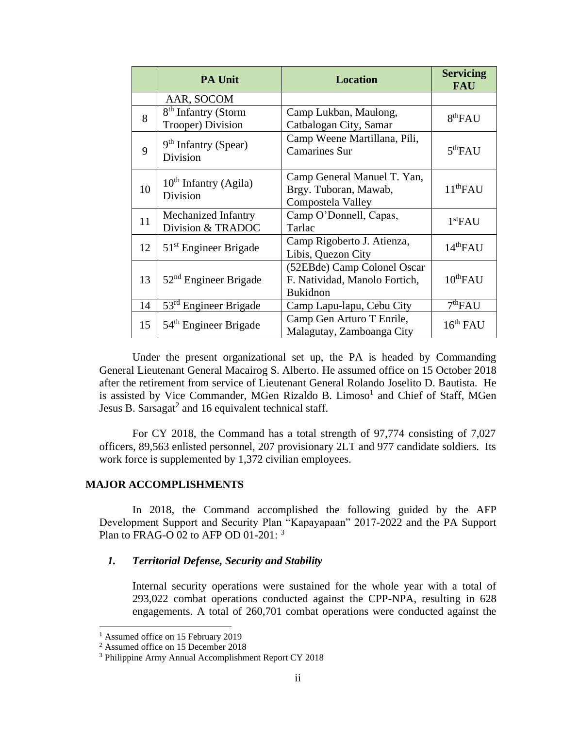|    | <b>PA Unit</b>                                       | <b>Location</b>                                                                 | <b>Servicing</b><br><b>FAU</b> |
|----|------------------------------------------------------|---------------------------------------------------------------------------------|--------------------------------|
|    | AAR, SOCOM                                           |                                                                                 |                                |
| 8  | 8 <sup>th</sup> Infantry (Storm<br>Trooper) Division | Camp Lukban, Maulong,<br>Catbalogan City, Samar                                 | 8 <sup>th</sup> FAU            |
| 9  | $9th$ Infantry (Spear)<br>Division                   | Camp Weene Martillana, Pili,<br><b>Camarines Sur</b>                            | 5 <sup>th</sup> FAU            |
| 10 | $10th$ Infantry (Agila)<br>Division                  | Camp General Manuel T. Yan,<br>Brgy. Tuboran, Mawab,<br>Compostela Valley       | 11 <sup>th</sup> FAU           |
| 11 | Mechanized Infantry<br>Division & TRADOC             | Camp O'Donnell, Capas,<br>Tarlac                                                | 1 <sup>st</sup> FAU            |
| 12 | $51st$ Engineer Brigade                              | Camp Rigoberto J. Atienza,<br>Libis, Quezon City                                | 14 <sup>th</sup> FAU           |
| 13 | $52nd$ Engineer Brigade                              | (52EBde) Camp Colonel Oscar<br>F. Natividad, Manolo Fortich,<br><b>Bukidnon</b> | $10^{th}$ FAU                  |
| 14 | $53rd$ Engineer Brigade                              | Camp Lapu-lapu, Cebu City                                                       | 7 <sup>th</sup> FAU            |
| 15 | $54th$ Engineer Brigade                              | Camp Gen Arturo T Enrile,<br>Malagutay, Zamboanga City                          | $16^{th}$ FAU                  |

Under the present organizational set up, the PA is headed by Commanding General Lieutenant General Macairog S. Alberto. He assumed office on 15 October 2018 after the retirement from service of Lieutenant General Rolando Joselito D. Bautista. He is assisted by Vice Commander, MGen Rizaldo B. Limoso<sup>1</sup> and Chief of Staff, MGen Jesus B. Sarsagat<sup>2</sup> and 16 equivalent technical staff.

For CY 2018, the Command has a total strength of 97,774 consisting of 7,027 officers, 89,563 enlisted personnel, 207 provisionary 2LT and 977 candidate soldiers. Its work force is supplemented by 1,372 civilian employees.

### **MAJOR ACCOMPLISHMENTS**

In 2018, the Command accomplished the following guided by the AFP Development Support and Security Plan "Kapayapaan" 2017-2022 and the PA Support Plan to FRAG-O 02 to AFP OD 01-201:  $3$ 

# *1. Territorial Defense, Security and Stability*

Internal security operations were sustained for the whole year with a total of 293,022 combat operations conducted against the CPP-NPA, resulting in 628 engagements. A total of 260,701 combat operations were conducted against the

<sup>&</sup>lt;sup>1</sup> Assumed office on 15 February 2019

<sup>&</sup>lt;sup>2</sup> Assumed office on 15 December 2018

<sup>3</sup> Philippine Army Annual Accomplishment Report CY 2018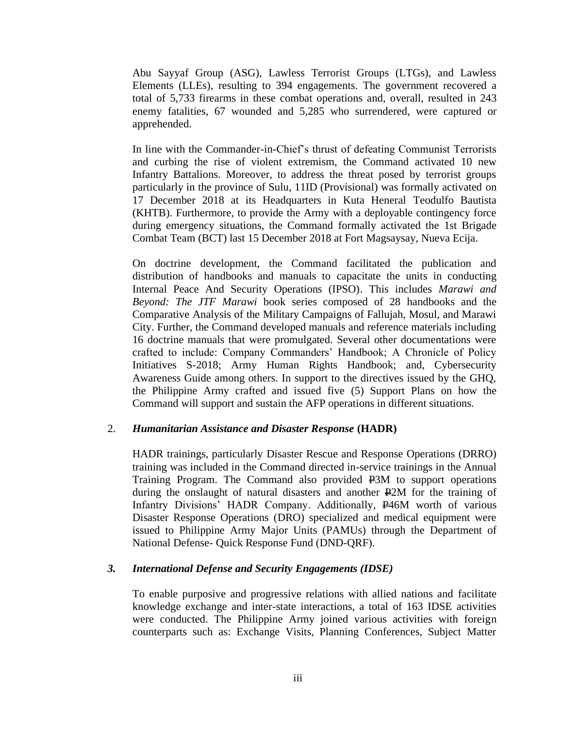Abu Sayyaf Group (ASG), Lawless Terrorist Groups (LTGs), and Lawless Elements (LLEs), resulting to 394 engagements. The government recovered a total of 5,733 firearms in these combat operations and, overall, resulted in 243 enemy fatalities, 67 wounded and 5,285 who surrendered, were captured or apprehended.

In line with the Commander-in-Chief's thrust of defeating Communist Terrorists and curbing the rise of violent extremism, the Command activated 10 new Infantry Battalions. Moreover, to address the threat posed by terrorist groups particularly in the province of Sulu, 11ID (Provisional) was formally activated on 17 December 2018 at its Headquarters in Kuta Heneral Teodulfo Bautista (KHTB). Furthermore, to provide the Army with a deployable contingency force during emergency situations, the Command formally activated the 1st Brigade Combat Team (BCT) last 15 December 2018 at Fort Magsaysay, Nueva Ecija.

On doctrine development, the Command facilitated the publication and distribution of handbooks and manuals to capacitate the units in conducting Internal Peace And Security Operations (IPSO). This includes *Marawi and Beyond: The JTF Marawi* book series composed of 28 handbooks and the Comparative Analysis of the Military Campaigns of Fallujah, Mosul, and Marawi City. Further, the Command developed manuals and reference materials including 16 doctrine manuals that were promulgated. Several other documentations were crafted to include: Company Commanders' Handbook; A Chronicle of Policy Initiatives S-2018; Army Human Rights Handbook; and, Cybersecurity Awareness Guide among others. In support to the directives issued by the GHQ, the Philippine Army crafted and issued five (5) Support Plans on how the Command will support and sustain the AFP operations in different situations.

#### 2. *Humanitarian Assistance and Disaster Response* **(HADR)**

HADR trainings, particularly Disaster Rescue and Response Operations (DRRO) training was included in the Command directed in-service trainings in the Annual Training Program. The Command also provided P3M to support operations during the onslaught of natural disasters and another P2M for the training of Infantry Divisions' HADR Company. Additionally, P46M worth of various Disaster Response Operations (DRO) specialized and medical equipment were issued to Philippine Army Major Units (PAMUs) through the Department of National Defense- Quick Response Fund (DND-QRF).

#### *3. International Defense and Security Engagements (IDSE)*

To enable purposive and progressive relations with allied nations and facilitate knowledge exchange and inter-state interactions, a total of 163 IDSE activities were conducted. The Philippine Army joined various activities with foreign counterparts such as: Exchange Visits, Planning Conferences, Subject Matter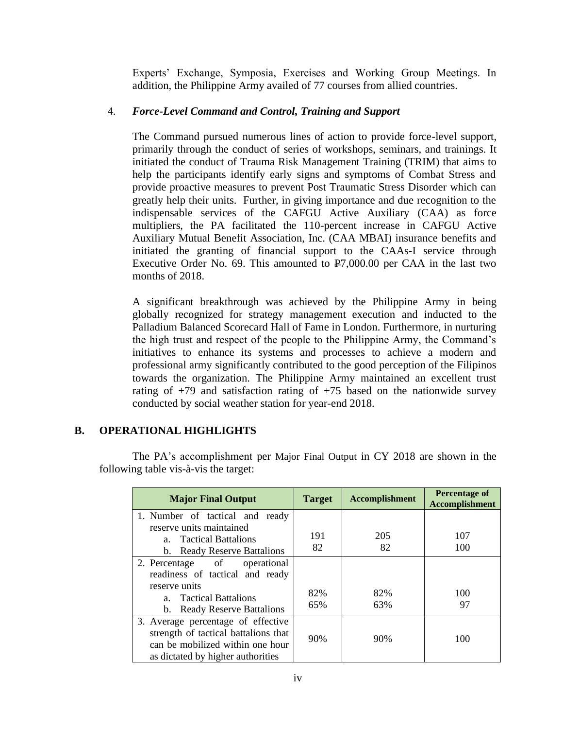Experts' Exchange, Symposia, Exercises and Working Group Meetings. In addition, the Philippine Army availed of 77 courses from allied countries.

# 4. *Force-Level Command and Control, Training and Support*

The Command pursued numerous lines of action to provide force-level support, primarily through the conduct of series of workshops, seminars, and trainings. It initiated the conduct of Trauma Risk Management Training (TRIM) that aims to help the participants identify early signs and symptoms of Combat Stress and provide proactive measures to prevent Post Traumatic Stress Disorder which can greatly help their units. Further, in giving importance and due recognition to the indispensable services of the CAFGU Active Auxiliary (CAA) as force multipliers, the PA facilitated the 110-percent increase in CAFGU Active Auxiliary Mutual Benefit Association, Inc. (CAA MBAI) insurance benefits and initiated the granting of financial support to the CAAs-I service through Executive Order No. 69. This amounted to  $\overline{P7,000.00}$  per CAA in the last two months of 2018.

A significant breakthrough was achieved by the Philippine Army in being globally recognized for strategy management execution and inducted to the Palladium Balanced Scorecard Hall of Fame in London. Furthermore, in nurturing the high trust and respect of the people to the Philippine Army, the Command's initiatives to enhance its systems and processes to achieve a modern and professional army significantly contributed to the good perception of the Filipinos towards the organization. The Philippine Army maintained an excellent trust rating of  $+79$  and satisfaction rating of  $+75$  based on the nationwide survey conducted by social weather station for year-end 2018.

# **B. OPERATIONAL HIGHLIGHTS**

The PA's accomplishment per Major Final Output in CY 2018 are shown in the following table vis-à-vis the target:

| <b>Major Final Output</b>                                                                                                                           | <b>Target</b> | <b>Accomplishment</b> | Percentage of<br><b>Accomplishment</b> |
|-----------------------------------------------------------------------------------------------------------------------------------------------------|---------------|-----------------------|----------------------------------------|
| 1. Number of tactical and ready<br>reserve units maintained<br>a. Tactical Battalions<br>b. Ready Reserve Battalions                                | 191<br>82     | 205<br>82             | 107<br>100                             |
| 2. Percentage of<br>operational<br>readiness of tactical and ready<br>reserve units<br>a. Tactical Battalions<br>b. Ready Reserve Battalions        | 82%<br>65%    | 82%<br>63%            | 100<br>97                              |
| 3. Average percentage of effective<br>strength of tactical battalions that<br>can be mobilized within one hour<br>as dictated by higher authorities | 90%           | 90%                   | 100                                    |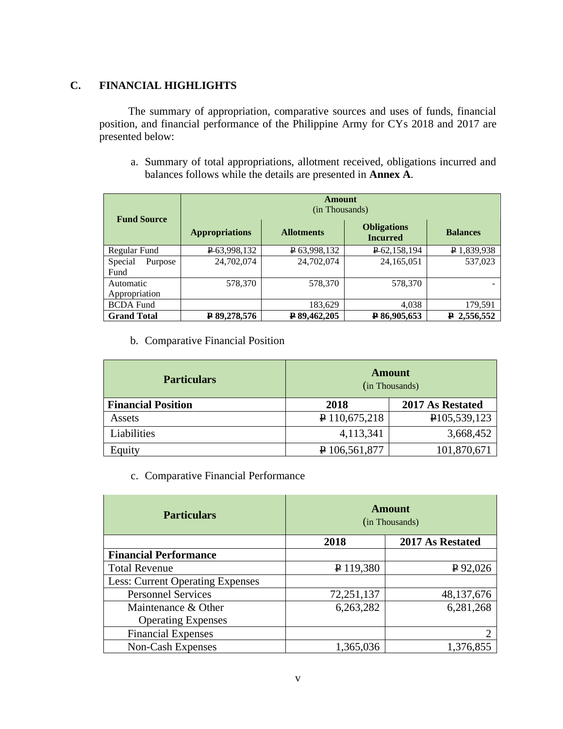# **C. FINANCIAL HIGHLIGHTS**

The summary of appropriation, comparative sources and uses of funds, financial position, and financial performance of the Philippine Army for CYs 2018 and 2017 are presented below:

a. Summary of total appropriations, allotment received, obligations incurred and balances follows while the details are presented in **Annex A**.

| <b>Fund Source</b>         | Amount<br>(in Thousands) |                   |                                       |                 |  |
|----------------------------|--------------------------|-------------------|---------------------------------------|-----------------|--|
|                            | <b>Appropriations</b>    | <b>Allotments</b> | <b>Obligations</b><br><b>Incurred</b> | <b>Balances</b> |  |
| Regular Fund               | P-63,998,132             | P 63,998,132      | P 62, 158, 194                        | P 1,839,938     |  |
| Special<br>Purpose<br>Fund | 24,702,074               | 24,702,074        | 24, 165, 051                          | 537,023         |  |
| Automatic<br>Appropriation | 578,370                  | 578,370           | 578,370                               |                 |  |
| <b>BCDA</b> Fund           |                          | 183,629           | 4,038                                 | 179,591         |  |
| <b>Grand Total</b>         | ₽ 89,278,576             | P89,462,205       | P86,905,653                           | $P$ 2,556,552   |  |

b. Comparative Financial Position

| <b>Particulars</b>        | <b>Amount</b><br>(in Thousands) |                  |
|---------------------------|---------------------------------|------------------|
| <b>Financial Position</b> | 2018                            | 2017 As Restated |
| Assets                    | $P$ 110,675,218                 | P105,539,123     |
| Liabilities               | 4,113,341                       | 3,668,452        |
| Equity                    | $P$ 106,561,877                 | 101,870,671      |

c. Comparative Financial Performance

| <b>Particulars</b>               | <b>Amount</b><br>(in Thousands) |                  |
|----------------------------------|---------------------------------|------------------|
|                                  | 2018                            | 2017 As Restated |
| <b>Financial Performance</b>     |                                 |                  |
| <b>Total Revenue</b>             | $P$ 119,380                     | $P$ 92,026       |
| Less: Current Operating Expenses |                                 |                  |
| <b>Personnel Services</b>        | 72,251,137                      | 48, 137, 676     |
| Maintenance & Other              | 6,263,282                       | 6,281,268        |
| <b>Operating Expenses</b>        |                                 |                  |
| <b>Financial Expenses</b>        |                                 |                  |
| Non-Cash Expenses                | 1,365,036                       | 1,376,855        |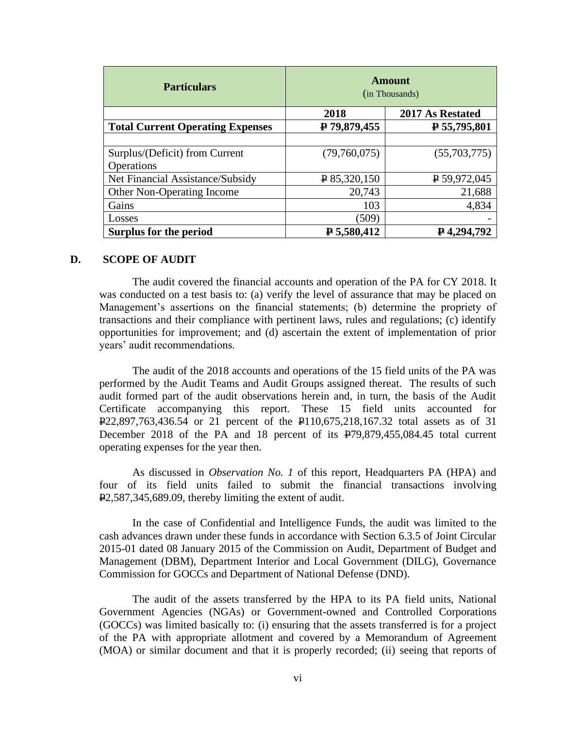| <b>Particulars</b>                      | <b>Amount</b><br>(in Thousands) |                    |
|-----------------------------------------|---------------------------------|--------------------|
|                                         | 2018                            | 2017 As Restated   |
| <b>Total Current Operating Expenses</b> | ₽ 79,879,455                    | $P$ 55,795,801     |
|                                         |                                 |                    |
| Surplus/(Deficit) from Current          | (79,760,075)                    | (55,703,775)       |
| Operations                              |                                 |                    |
| Net Financial Assistance/Subsidy        | $P$ 85,320,150                  | $P$ 59,972,045     |
| Other Non-Operating Income              | 20,743                          | 21,688             |
| Gains                                   | 103                             | 4,834              |
| Losses                                  | (509)                           |                    |
| Surplus for the period                  | P 5,580,412                     | $\bf{P}$ 4,294,792 |

#### **D. SCOPE OF AUDIT**

The audit covered the financial accounts and operation of the PA for CY 2018. It was conducted on a test basis to: (a) verify the level of assurance that may be placed on Management's assertions on the financial statements; (b) determine the propriety of transactions and their compliance with pertinent laws, rules and regulations; (c) identify opportunities for improvement; and (d) ascertain the extent of implementation of prior years' audit recommendations.

The audit of the 2018 accounts and operations of the 15 field units of the PA was performed by the Audit Teams and Audit Groups assigned thereat. The results of such audit formed part of the audit observations herein and, in turn, the basis of the Audit Certificate accompanying this report. These 15 field units accounted for P22,897,763,436.54 or 21 percent of the P110,675,218,167.32 total assets as of 31 December 2018 of the PA and 18 percent of its P79,879,455,084.45 total current operating expenses for the year then.

As discussed in *Observation No. 1* of this report, Headquarters PA (HPA) and four of its field units failed to submit the financial transactions involving  $P2,587,345,689.09$ , thereby limiting the extent of audit.

In the case of Confidential and Intelligence Funds, the audit was limited to the cash advances drawn under these funds in accordance with Section 6.3.5 of Joint Circular 2015-01 dated 08 January 2015 of the Commission on Audit, Department of Budget and Management (DBM), Department Interior and Local Government (DILG), Governance Commission for GOCCs and Department of National Defense (DND).

The audit of the assets transferred by the HPA to its PA field units, National Government Agencies (NGAs) or Government-owned and Controlled Corporations (GOCCs) was limited basically to: (i) ensuring that the assets transferred is for a project of the PA with appropriate allotment and covered by a Memorandum of Agreement (MOA) or similar document and that it is properly recorded; (ii) seeing that reports of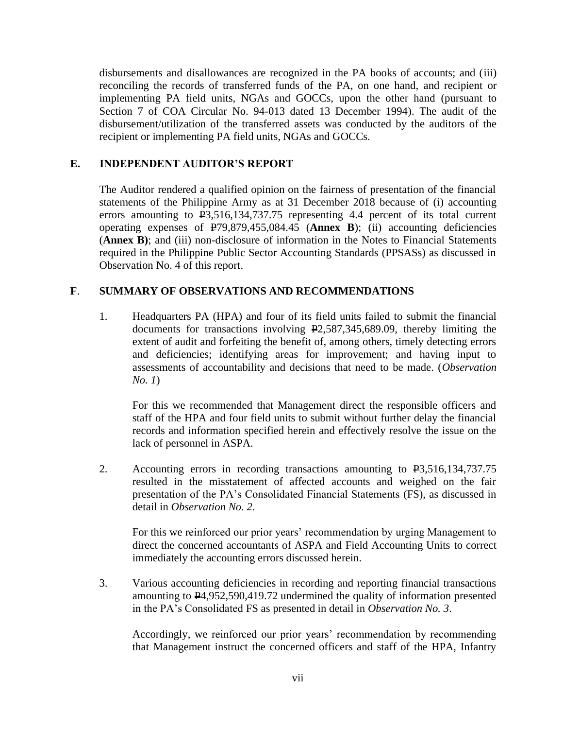disbursements and disallowances are recognized in the PA books of accounts; and (iii) reconciling the records of transferred funds of the PA, on one hand, and recipient or implementing PA field units, NGAs and GOCCs, upon the other hand (pursuant to Section 7 of COA Circular No. 94-013 dated 13 December 1994). The audit of the disbursement/utilization of the transferred assets was conducted by the auditors of the recipient or implementing PA field units, NGAs and GOCCs.

# **E. INDEPENDENT AUDITOR'S REPORT**

The Auditor rendered a qualified opinion on the fairness of presentation of the financial statements of the Philippine Army as at 31 December 2018 because of (i) accounting errors amounting to  $\text{\textsterling}3,516,134,737.75$  representing 4.4 percent of its total current operating expenses of P79,879,455,084.45 (**Annex B**); (ii) accounting deficiencies (**Annex B)**; and (iii) non-disclosure of information in the Notes to Financial Statements required in the Philippine Public Sector Accounting Standards (PPSASs) as discussed in Observation No. 4 of this report.

# **F**. **SUMMARY OF OBSERVATIONS AND RECOMMENDATIONS**

1. Headquarters PA (HPA) and four of its field units failed to submit the financial documents for transactions involving P2,587,345,689.09, thereby limiting the extent of audit and forfeiting the benefit of, among others, timely detecting errors and deficiencies; identifying areas for improvement; and having input to assessments of accountability and decisions that need to be made. (*Observation No. 1*)

For this we recommended that Management direct the responsible officers and staff of the HPA and four field units to submit without further delay the financial records and information specified herein and effectively resolve the issue on the lack of personnel in ASPA.

2. Accounting errors in recording transactions amounting to P3,516,134,737.75 resulted in the misstatement of affected accounts and weighed on the fair presentation of the PA's Consolidated Financial Statements (FS), as discussed in detail in *Observation No. 2.* 

For this we reinforced our prior years' recommendation by urging Management to direct the concerned accountants of ASPA and Field Accounting Units to correct immediately the accounting errors discussed herein.

3. Various accounting deficiencies in recording and reporting financial transactions amounting to P4,952,590,419.72 undermined the quality of information presented in the PA's Consolidated FS as presented in detail in *Observation No. 3*.

Accordingly, we reinforced our prior years' recommendation by recommending that Management instruct the concerned officers and staff of the HPA, Infantry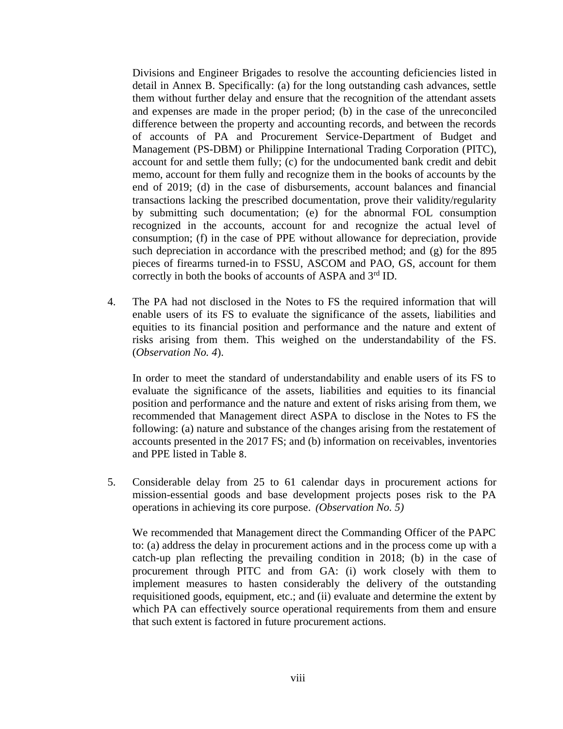Divisions and Engineer Brigades to resolve the accounting deficiencies listed in detail in Annex B. Specifically: (a) for the long outstanding cash advances, settle them without further delay and ensure that the recognition of the attendant assets and expenses are made in the proper period; (b) in the case of the unreconciled difference between the property and accounting records, and between the records of accounts of PA and Procurement Service-Department of Budget and Management (PS-DBM) or Philippine International Trading Corporation (PITC), account for and settle them fully; (c) for the undocumented bank credit and debit memo, account for them fully and recognize them in the books of accounts by the end of 2019; (d) in the case of disbursements, account balances and financial transactions lacking the prescribed documentation, prove their validity/regularity by submitting such documentation; (e) for the abnormal FOL consumption recognized in the accounts, account for and recognize the actual level of consumption; (f) in the case of PPE without allowance for depreciation, provide such depreciation in accordance with the prescribed method; and (g) for the 895 pieces of firearms turned-in to FSSU, ASCOM and PAO, GS, account for them correctly in both the books of accounts of ASPA and  $3<sup>rd</sup>$  ID.

4. The PA had not disclosed in the Notes to FS the required information that will enable users of its FS to evaluate the significance of the assets, liabilities and equities to its financial position and performance and the nature and extent of risks arising from them. This weighed on the understandability of the FS. (*Observation No. 4*).

In order to meet the standard of understandability and enable users of its FS to evaluate the significance of the assets, liabilities and equities to its financial position and performance and the nature and extent of risks arising from them, we recommended that Management direct ASPA to disclose in the Notes to FS the following: (a) nature and substance of the changes arising from the restatement of accounts presented in the 2017 FS; and (b) information on receivables, inventories and PPE listed in Table 8.

5. Considerable delay from 25 to 61 calendar days in procurement actions for mission-essential goods and base development projects poses risk to the PA operations in achieving its core purpose. *(Observation No. 5)*

We recommended that Management direct the Commanding Officer of the PAPC to: (a) address the delay in procurement actions and in the process come up with a catch-up plan reflecting the prevailing condition in 2018; (b) in the case of procurement through PITC and from GA: (i) work closely with them to implement measures to hasten considerably the delivery of the outstanding requisitioned goods, equipment, etc.; and (ii) evaluate and determine the extent by which PA can effectively source operational requirements from them and ensure that such extent is factored in future procurement actions.